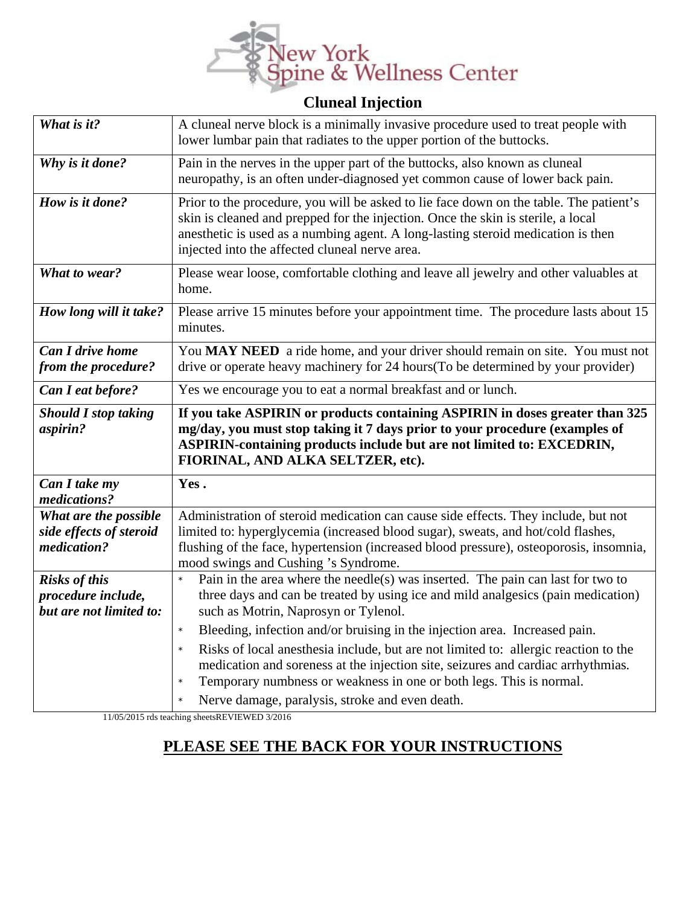

## **Cluneal Injection**

| What is it?                                                           | A cluneal nerve block is a minimally invasive procedure used to treat people with<br>lower lumbar pain that radiates to the upper portion of the buttocks.                                                                                                                                                       |
|-----------------------------------------------------------------------|------------------------------------------------------------------------------------------------------------------------------------------------------------------------------------------------------------------------------------------------------------------------------------------------------------------|
| Why is it done?                                                       | Pain in the nerves in the upper part of the buttocks, also known as cluneal<br>neuropathy, is an often under-diagnosed yet common cause of lower back pain.                                                                                                                                                      |
| How is it done?                                                       | Prior to the procedure, you will be asked to lie face down on the table. The patient's<br>skin is cleaned and prepped for the injection. Once the skin is sterile, a local<br>anesthetic is used as a numbing agent. A long-lasting steroid medication is then<br>injected into the affected cluneal nerve area. |
| What to wear?                                                         | Please wear loose, comfortable clothing and leave all jewelry and other valuables at<br>home.                                                                                                                                                                                                                    |
| How long will it take?                                                | Please arrive 15 minutes before your appointment time. The procedure lasts about 15<br>minutes.                                                                                                                                                                                                                  |
| <b>Can I drive home</b><br>from the procedure?                        | You MAY NEED a ride home, and your driver should remain on site. You must not<br>drive or operate heavy machinery for 24 hours(To be determined by your provider)                                                                                                                                                |
| Can I eat before?                                                     | Yes we encourage you to eat a normal breakfast and or lunch.                                                                                                                                                                                                                                                     |
|                                                                       |                                                                                                                                                                                                                                                                                                                  |
| <b>Should I stop taking</b><br>aspirin?                               | If you take ASPIRIN or products containing ASPIRIN in doses greater than 325<br>mg/day, you must stop taking it 7 days prior to your procedure (examples of<br>ASPIRIN-containing products include but are not limited to: EXCEDRIN,<br>FIORINAL, AND ALKA SELTZER, etc).                                        |
| Can I take my<br>medications?                                         | Yes.                                                                                                                                                                                                                                                                                                             |
| What are the possible<br>side effects of steroid<br>medication?       | Administration of steroid medication can cause side effects. They include, but not<br>limited to: hyperglycemia (increased blood sugar), sweats, and hot/cold flashes,<br>flushing of the face, hypertension (increased blood pressure), osteoporosis, insomnia,                                                 |
| <b>Risks of this</b><br>procedure include,<br>but are not limited to: | mood swings and Cushing 's Syndrome.<br>Pain in the area where the needle(s) was inserted. The pain can last for two to<br>$\star$<br>three days and can be treated by using ice and mild analgesics (pain medication)<br>such as Motrin, Naprosyn or Tylenol.                                                   |

11/05/2015 rds teaching sheetsREVIEWED 3/2016

## **PLEASE SEE THE BACK FOR YOUR INSTRUCTIONS**